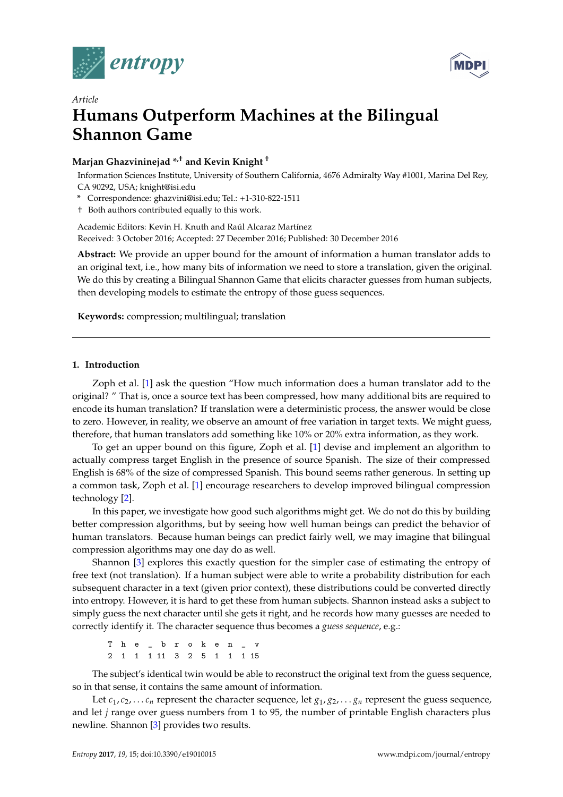



# *Article* **Humans Outperform Machines at the Bilingual Shannon Game**

## **Marjan Ghazvininejad \*,† and Kevin Knight †**

Information Sciences Institute, University of Southern California, 4676 Admiralty Way #1001, Marina Del Rey, CA 90292, USA; knight@isi.edu

- **\*** Correspondence: ghazvini@isi.edu; Tel.: +1-310-822-1511
- † Both authors contributed equally to this work.

Academic Editors: Kevin H. Knuth and Raúl Alcaraz Martínez Received: 3 October 2016; Accepted: 27 December 2016; Published: 30 December 2016

**Abstract:** We provide an upper bound for the amount of information a human translator adds to an original text, i.e., how many bits of information we need to store a translation, given the original. We do this by creating a Bilingual Shannon Game that elicits character guesses from human subjects, then developing models to estimate the entropy of those guess sequences.

**Keywords:** compression; multilingual; translation

## <span id="page-0-0"></span>**1. Introduction**

Zoph et al. [\[1\]](#page-9-0) ask the question "How much information does a human translator add to the original? " That is, once a source text has been compressed, how many additional bits are required to encode its human translation? If translation were a deterministic process, the answer would be close to zero. However, in reality, we observe an amount of free variation in target texts. We might guess, therefore, that human translators add something like 10% or 20% extra information, as they work.

To get an upper bound on this figure, Zoph et al. [\[1\]](#page-9-0) devise and implement an algorithm to actually compress target English in the presence of source Spanish. The size of their compressed English is 68% of the size of compressed Spanish. This bound seems rather generous. In setting up a common task, Zoph et al. [\[1\]](#page-9-0) encourage researchers to develop improved bilingual compression technology [\[2\]](#page-9-1).

In this paper, we investigate how good such algorithms might get. We do not do this by building better compression algorithms, but by seeing how well human beings can predict the behavior of human translators. Because human beings can predict fairly well, we may imagine that bilingual compression algorithms may one day do as well.

Shannon [\[3\]](#page-9-2) explores this exactly question for the simpler case of estimating the entropy of free text (not translation). If a human subject were able to write a probability distribution for each subsequent character in a text (given prior context), these distributions could be converted directly into entropy. However, it is hard to get these from human subjects. Shannon instead asks a subject to simply guess the next character until she gets it right, and he records how many guesses are needed to correctly identify it. The character sequence thus becomes a *guess sequence*, e.g.:

T h e \_ b r o k e n \_ v 2 1 1 1 11 3 2 5 1 1 1 15

The subject's identical twin would be able to reconstruct the original text from the guess sequence, so in that sense, it contains the same amount of information.

Let  $c_1, c_2, \ldots c_n$  represent the character sequence, let  $g_1, g_2, \ldots g_n$  represent the guess sequence, and let *j* range over guess numbers from 1 to 95, the number of printable English characters plus newline. Shannon [\[3\]](#page-9-2) provides two results.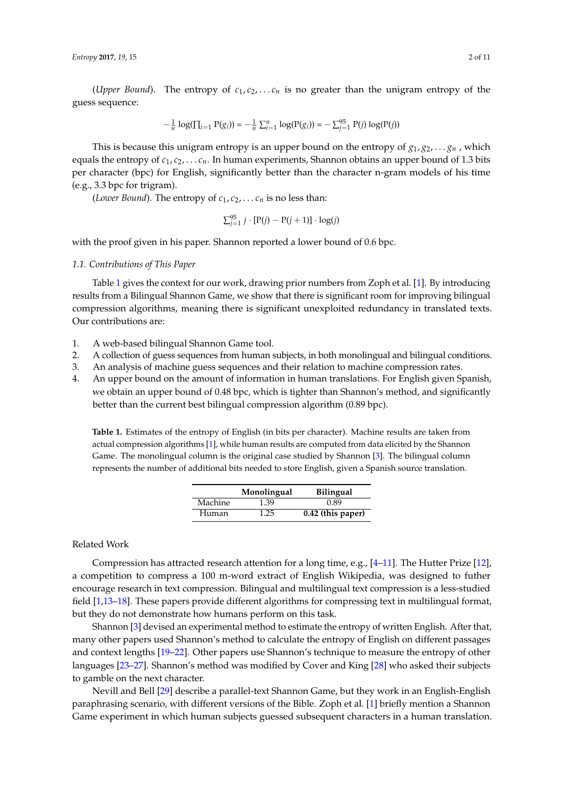(*Upper Bound*). The entropy of  $c_1, c_2, \ldots c_n$  is no greater than the unigram entropy of the guess sequence:

$$
-\frac{1}{n}\log(\prod_{i=1}^{n} P(g_i)) = -\frac{1}{n}\sum_{i=1}^{n} \log(P(g_i)) = -\sum_{j=1}^{95} P(j)\log(P(j))
$$

This is because this unigram entropy is an upper bound on the entropy of  $g_1, g_2, \ldots, g_n$ , which equals the entropy of  $c_1, c_2, \ldots c_n$ . In human experiments, Shannon obtains an upper bound of 1.3 bits per character (bpc) for English, significantly better than the character n-gram models of his time (e.g., 3.3 bpc for trigram).

(*Lower Bound*). The entropy of  $c_1, c_2, \ldots c_n$  is no less than:

$$
\sum_{j=1}^{95} j \cdot [P(j) - P(j+1)] \cdot \log(j)
$$

with the proof given in his paper. Shannon reported a lower bound of 0.6 bpc.

#### *1.1. Contributions of This Paper*

Table [1](#page-1-0) gives the context for our work, drawing prior numbers from Zoph et al. [\[1\]](#page-9-0). By introducing results from a Bilingual Shannon Game, we show that there is significant room for improving bilingual compression algorithms, meaning there is significant unexploited redundancy in translated texts. Our contributions are:

- 1. A web-based bilingual Shannon Game tool.
- 2. A collection of guess sequences from human subjects, in both monolingual and bilingual conditions.
- 3. An analysis of machine guess sequences and their relation to machine compression rates.
- 4. An upper bound on the amount of information in human translations. For English given Spanish, we obtain an upper bound of 0.48 bpc, which is tighter than Shannon's method, and significantly better than the current best bilingual compression algorithm (0.89 bpc).

<span id="page-1-0"></span>**Table 1.** Estimates of the entropy of English (in bits per character). Machine results are taken from actual compression algorithms [\[1\]](#page-9-0), while human results are computed from data elicited by the Shannon Game. The monolingual column is the original case studied by Shannon [\[3\]](#page-9-2). The bilingual column represents the number of additional bits needed to store English, given a Spanish source translation.

|                | Monolingual | <b>Bilingual</b>  |
|----------------|-------------|-------------------|
| <b>Machine</b> | 1.39        | 0.89              |
| Human          | 1.25        | 0.42 (this paper) |

## Related Work

Compression has attracted research attention for a long time, e.g., [\[4–](#page-9-3)[11\]](#page-9-4). The Hutter Prize [\[12\]](#page-9-5), a competition to compress a 100 m-word extract of English Wikipedia, was designed to futher encourage research in text compression. Bilingual and multilingual text compression is a less-studied field [\[1](#page-9-0)[,13](#page-9-6)[–18\]](#page-9-7). These papers provide different algorithms for compressing text in multilingual format, but they do not demonstrate how humans perform on this task.

Shannon [\[3\]](#page-9-2) devised an experimental method to estimate the entropy of written English. After that, many other papers used Shannon's method to calculate the entropy of English on different passages and context lengths [\[19–](#page-9-8)[22\]](#page-9-9). Other papers use Shannon's technique to measure the entropy of other languages [\[23–](#page-9-10)[27\]](#page-9-11). Shannon's method was modified by Cover and King [\[28\]](#page-9-12) who asked their subjects to gamble on the next character.

Nevill and Bell [\[29\]](#page-10-0) describe a parallel-text Shannon Game, but they work in an English-English paraphrasing scenario, with different versions of the Bible. Zoph et al. [\[1\]](#page-9-0) briefly mention a Shannon Game experiment in which human subjects guessed subsequent characters in a human translation.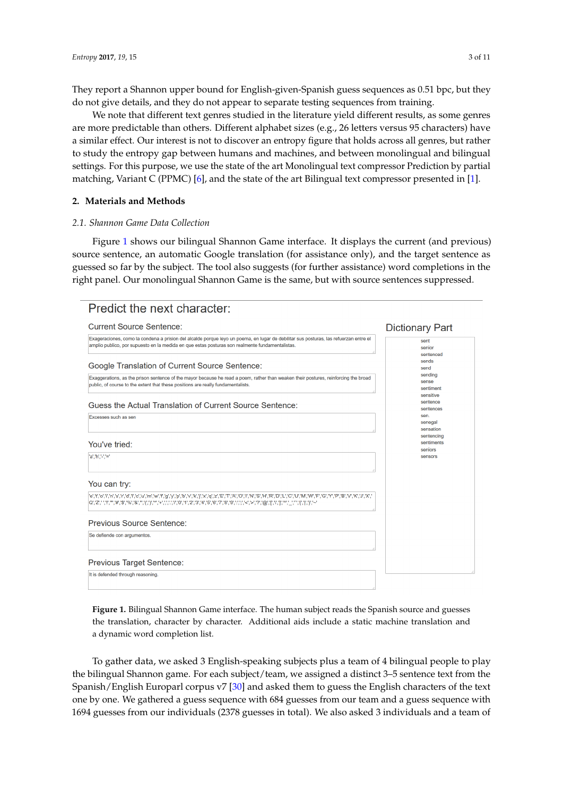They report a Shannon upper bound for English-given-Spanish guess sequences as 0.51 bpc, but they do not give details, and they do not appear to separate testing sequences from training.

We note that different text genres studied in the literature yield different results, as some genres are more predictable than others. Different alphabet sizes (e.g., 26 letters versus 95 characters) have a similar effect. Our interest is not to discover an entropy figure that holds across all genres, but rather to study the entropy gap between humans and machines, and between monolingual and bilingual settings. For this purpose, we use the state of the art Monolingual text compressor Prediction by partial matching, Variant C (PPMC) [\[6\]](#page-9-13), and the state of the art Bilingual text compressor presented in [\[1\]](#page-9-0).

## **2. Materials and Methods**

## *2.1. Shannon Game Data Collection*

Figure [1](#page-2-0) shows our bilingual Shannon Game interface. It displays the current (and previous) source sentence, an automatic Google translation (for assistance only), and the target sentence as guessed so far by the subject. The tool also suggests (for further assistance) word completions in the right panel. Our monolingual Shannon Game is the same, but with source sentences suppressed.

<span id="page-2-0"></span>

| Predict the next character:                                                                                                                                                                                                              |                                            |
|------------------------------------------------------------------------------------------------------------------------------------------------------------------------------------------------------------------------------------------|--------------------------------------------|
| <b>Current Source Sentence:</b>                                                                                                                                                                                                          | <b>Dictionary Part</b>                     |
| Exageraciones, como la condena a prision del alcalde porque leyo un poema, en lugar de debilitar sus posturas, las refuerzan entre el<br>amplio publico, por supuesto en la medida en que estas posturas son realmente fundamentalistas. | sent<br>senior<br>sentenced                |
| Google Translation of Current Source Sentence:                                                                                                                                                                                           | sends<br>send                              |
| Exaggerations, as the prison sentence of the mayor because he read a poem, rather than weaken their postures, reinforcing the broad<br>public, of course to the extent that these positions are really fundamentalists.                  | sending<br>sense<br>sentiment<br>sensitive |
| Guess the Actual Translation of Current Source Sentence:                                                                                                                                                                                 | sentence<br>sentences                      |
| Excesses such as sen                                                                                                                                                                                                                     | sen.<br>senegal<br>sensation               |
| You've tried:                                                                                                                                                                                                                            | sentencing<br>sentiments<br>seniors        |
| "a","h","-","="                                                                                                                                                                                                                          | sensors                                    |
| You can try:                                                                                                                                                                                                                             |                                            |
| ' e','t','o','i','n','s','r','d','l','o','u','m','w',f','g','y','p','b','v','k','j','x','q','z','E','T','A','O','l','N','S','H','R','O','W','F','O','Y','P','B','V','K','J','X','                                                        |                                            |
| Previous Source Sentence:                                                                                                                                                                                                                |                                            |
| Se defiende con argumentos.                                                                                                                                                                                                              |                                            |
| <b>Previous Target Sentence:</b>                                                                                                                                                                                                         |                                            |
| It is defended through reasoning.                                                                                                                                                                                                        |                                            |

**Figure 1.** Bilingual Shannon Game interface. The human subject reads the Spanish source and guesses the translation, character by character. Additional aids include a static machine translation and a dynamic word completion list.

To gather data, we asked 3 English-speaking subjects plus a team of 4 bilingual people to play the bilingual Shannon game. For each subject/team, we assigned a distinct 3–5 sentence text from the Spanish/English Europarl corpus v7 [\[30\]](#page-10-1) and asked them to guess the English characters of the text one by one. We gathered a guess sequence with 684 guesses from our team and a guess sequence with 1694 guesses from our individuals (2378 guesses in total). We also asked 3 individuals and a team of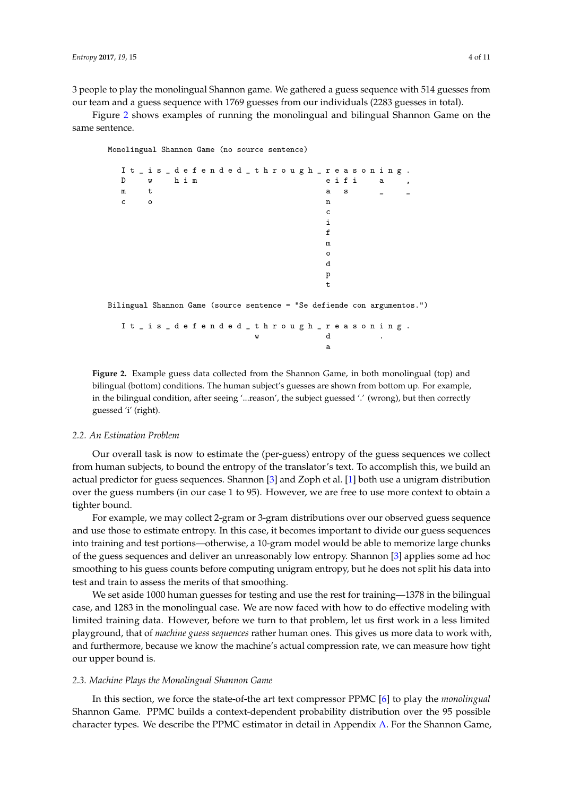3 people to play the monolingual Shannon game. We gathered a guess sequence with 514 guesses from our team and a guess sequence with 1769 guesses from our individuals (2283 guesses in total).

<span id="page-3-0"></span>Figure [2](#page-3-0) shows examples of running the monolingual and bilingual Shannon Game on the same sentence.

Monolingual Shannon Game (no source sentence)



I t \_ i s \_ d e f e n d e d \_ t h r o u g h \_ r e a s o n i n g .  $\rm w$   $\rm d$ a

**Figure 2.** Example guess data collected from the Shannon Game, in both monolingual (top) and bilingual (bottom) conditions. The human subject's guesses are shown from bottom up. For example, in the bilingual condition, after seeing '...reason', the subject guessed '.' (wrong), but then correctly guessed 'i' (right).

#### *2.2. An Estimation Problem*

Our overall task is now to estimate the (per-guess) entropy of the guess sequences we collect from human subjects, to bound the entropy of the translator's text. To accomplish this, we build an actual predictor for guess sequences. Shannon [\[3\]](#page-9-2) and Zoph et al. [\[1\]](#page-9-0) both use a unigram distribution over the guess numbers (in our case 1 to 95). However, we are free to use more context to obtain a tighter bound.

For example, we may collect 2-gram or 3-gram distributions over our observed guess sequence and use those to estimate entropy. In this case, it becomes important to divide our guess sequences into training and test portions—otherwise, a 10-gram model would be able to memorize large chunks of the guess sequences and deliver an unreasonably low entropy. Shannon [\[3\]](#page-9-2) applies some ad hoc smoothing to his guess counts before computing unigram entropy, but he does not split his data into test and train to assess the merits of that smoothing.

We set aside 1000 human guesses for testing and use the rest for training—1378 in the bilingual case, and 1283 in the monolingual case. We are now faced with how to do effective modeling with limited training data. However, before we turn to that problem, let us first work in a less limited playground, that of *machine guess sequences* rather human ones. This gives us more data to work with, and furthermore, because we know the machine's actual compression rate, we can measure how tight our upper bound is.

#### *2.3. Machine Plays the Monolingual Shannon Game*

In this section, we force the state-of-the art text compressor PPMC [\[6\]](#page-9-13) to play the *monolingual* Shannon Game. PPMC builds a context-dependent probability distribution over the 95 possible character types. We describe the PPMC estimator in detail in Appendix [A.](#page-8-0) For the Shannon Game,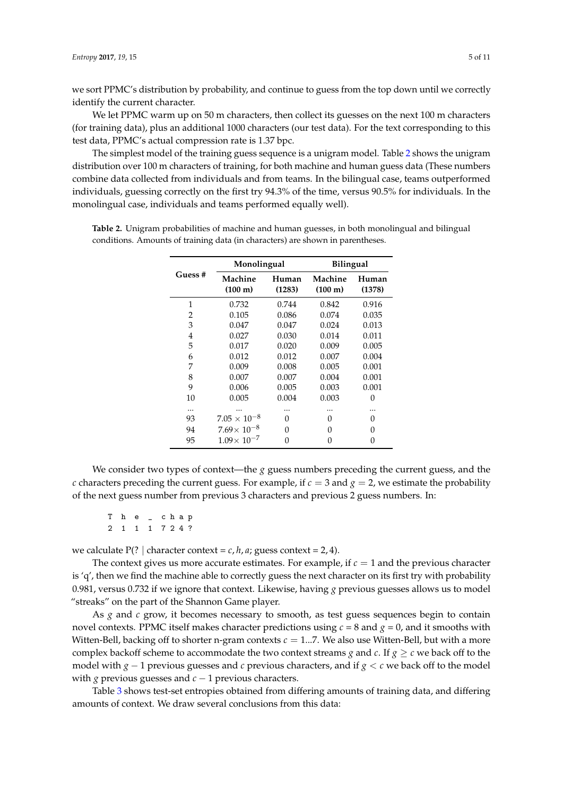we sort PPMC's distribution by probability, and continue to guess from the top down until we correctly identify the current character.

We let PPMC warm up on 50 m characters, then collect its guesses on the next 100 m characters (for training data), plus an additional 1000 characters (our test data). For the text corresponding to this test data, PPMC's actual compression rate is 1.37 bpc.

The simplest model of the training guess sequence is a unigram model. Table [2](#page-4-0) shows the unigram distribution over 100 m characters of training, for both machine and human guess data (These numbers combine data collected from individuals and from teams. In the bilingual case, teams outperformed individuals, guessing correctly on the first try 94.3% of the time, versus 90.5% for individuals. In the monolingual case, individuals and teams performed equally well).

|        | Monolingual                      |                 | <b>Bilingual</b>             |                 |  |
|--------|----------------------------------|-----------------|------------------------------|-----------------|--|
| Guess# | Machine<br>$(100 \; \mathrm{m})$ | Human<br>(1283) | Machine<br>$(100 \text{ m})$ | Human<br>(1378) |  |
| 1      | 0.732                            | 0.744           | 0.842                        | 0.916           |  |
| 2      | 0.105                            | 0.086           | 0.074                        | 0.035           |  |
| 3      | 0.047                            | 0.047           | 0.024                        | 0.013           |  |
| 4      | 0.027                            | 0.030           | 0.014                        | 0.011           |  |
| 5      | 0.017                            | 0.020           | 0.009                        | 0.005           |  |
| 6      | 0.012                            | 0.012           | 0.007                        | 0.004           |  |
| 7      | 0.009                            | 0.008           | 0.005                        | 0.001           |  |
| 8      | 0.007                            | 0.007           | 0.004                        | 0.001           |  |
| 9      | 0.006                            | 0.005           | 0.003                        | 0.001           |  |
| 10     | 0.005                            | 0.004           | 0.003                        | 0               |  |
|        |                                  |                 |                              |                 |  |
| 93     | $7.05 \times 10^{-8}$            | O               | 0                            | 0               |  |
| 94     | $7.69 \times 10^{-8}$            | 0               | O                            | 0               |  |
| 95     | $1.09 \times 10^{-7}$            | 0               | 0                            | 0               |  |

<span id="page-4-0"></span>**Table 2.** Unigram probabilities of machine and human guesses, in both monolingual and bilingual conditions. Amounts of training data (in characters) are shown in parentheses.

We consider two types of context—the  $g$  guess numbers preceding the current guess, and the *c* characters preceding the current guess. For example, if  $c = 3$  and  $g = 2$ , we estimate the probability of the next guess number from previous 3 characters and previous 2 guess numbers. In:

T h e \_ c h a p 2 1 1 1 7 2 4 ?

we calculate  $P(? \mid \text{character context} = c, h, a; \text{guess context} = 2, 4).$ 

The context gives us more accurate estimates. For example, if  $c = 1$  and the previous character is  $q'$ , then we find the machine able to correctly guess the next character on its first try with probability 0.981, versus 0.732 if we ignore that context. Likewise, having *g* previous guesses allows us to model "streaks" on the part of the Shannon Game player.

As *g* and *c* grow, it becomes necessary to smooth, as test guess sequences begin to contain novel contexts. PPMC itself makes character predictions using  $c = 8$  and  $g = 0$ , and it smooths with Witten-Bell, backing off to shorter n-gram contexts  $c = 1...7$ . We also use Witten-Bell, but with a more complex backoff scheme to accommodate the two context streams *g* and *c*. If  $g \ge c$  we back off to the model with *g* − 1 previous guesses and *c* previous characters, and if *g* < *c* we back off to the model with *g* previous guesses and  $c - 1$  previous characters.

Table [3](#page-5-0) shows test-set entropies obtained from differing amounts of training data, and differing amounts of context. We draw several conclusions from this data: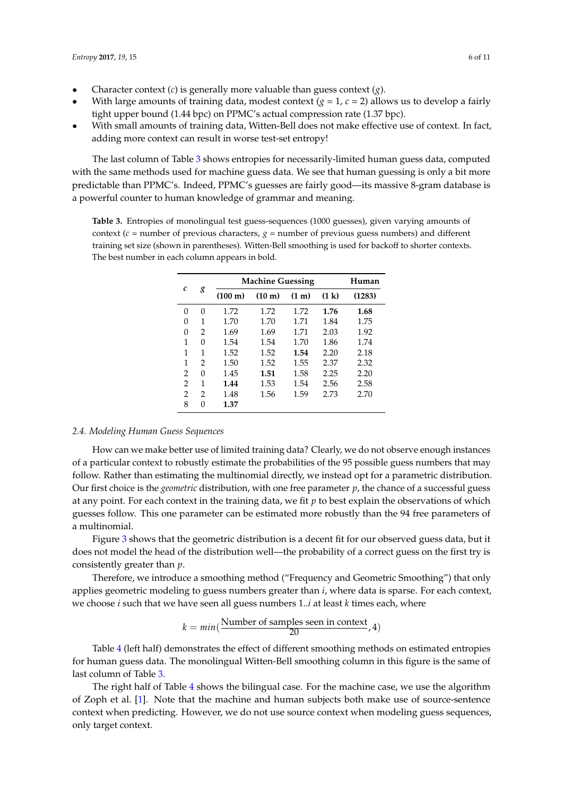- Character context (*c*) is generally more valuable than guess context (*g*).
- With large amounts of training data, modest context  $(g = 1, c = 2)$  allows us to develop a fairly tight upper bound (1.44 bpc) on PPMC's actual compression rate (1.37 bpc).
- With small amounts of training data, Witten-Bell does not make effective use of context. In fact, adding more context can result in worse test-set entropy!

The last column of Table [3](#page-5-0) shows entropies for necessarily-limited human guess data, computed with the same methods used for machine guess data. We see that human guessing is only a bit more predictable than PPMC's. Indeed, PPMC's guesses are fairly good—its massive 8-gram database is a powerful counter to human knowledge of grammar and meaning.

<span id="page-5-0"></span>**Table 3.** Entropies of monolingual test guess-sequences (1000 guesses), given varying amounts of context ( $c$  = number of previous characters,  $g$  = number of previous guess numbers) and different training set size (shown in parentheses). Witten-Bell smoothing is used for backoff to shorter contexts. The best number in each column appears in bold.

| C             | g             | <b>Machine Guessing</b> | Human            |                   |       |        |
|---------------|---------------|-------------------------|------------------|-------------------|-------|--------|
|               |               | $(100 \text{ m})$       | $(10 \text{ m})$ | (1 <sub>m</sub> ) | (1 k) | (1283) |
| 0             | 0             | 1.72                    | 1.72             | 1.72              | 1.76  | 1.68   |
| 0             | 1             | 1.70                    | 1.70             | 1.71              | 1.84  | 1.75   |
| 0             | $\mathcal{P}$ | 1.69                    | 1.69             | 1.71              | 2.03  | 1.92   |
| 1             | $\Omega$      | 1.54                    | 1.54             | 1.70              | 1.86  | 1.74   |
| 1             | 1             | 1.52                    | 1.52             | 1.54              | 2.20  | 2.18   |
| 1             | 2             | 1.50                    | 1.52             | 1.55              | 2.37  | 2.32   |
| 2             | $\Omega$      | 1.45                    | 1.51             | 1.58              | 2.25  | 2.20   |
| 2             | 1             | 1.44                    | 1.53             | 1.54              | 2.56  | 2.58   |
| $\mathcal{P}$ | $\mathcal{P}$ | 1.48                    | 1.56             | 1.59              | 2.73  | 2.70   |
| 8             | $\Omega$      | 1.37                    |                  |                   |       |        |

## *2.4. Modeling Human Guess Sequences*

How can we make better use of limited training data? Clearly, we do not observe enough instances of a particular context to robustly estimate the probabilities of the 95 possible guess numbers that may follow. Rather than estimating the multinomial directly, we instead opt for a parametric distribution. Our first choice is the *geometric* distribution, with one free parameter *p*, the chance of a successful guess at any point. For each context in the training data, we fit *p* to best explain the observations of which guesses follow. This one parameter can be estimated more robustly than the 94 free parameters of a multinomial.

Figure [3](#page-6-0) shows that the geometric distribution is a decent fit for our observed guess data, but it does not model the head of the distribution well—the probability of a correct guess on the first try is consistently greater than *p*.

Therefore, we introduce a smoothing method ("Frequency and Geometric Smoothing") that only applies geometric modeling to guess numbers greater than *i*, where data is sparse. For each context, we choose *i* such that we have seen all guess numbers 1..*i* at least *k* times each, where

$$
k = min(\frac{Number\ of\ samples\ seen\ in\ context}{20}, 4)
$$

Table [4](#page-6-1) (left half) demonstrates the effect of different smoothing methods on estimated entropies for human guess data. The monolingual Witten-Bell smoothing column in this figure is the same of last column of Table [3.](#page-5-0)

The right half of Table [4](#page-6-1) shows the bilingual case. For the machine case, we use the algorithm of Zoph et al. [\[1\]](#page-9-0). Note that the machine and human subjects both make use of source-sentence context when predicting. However, we do not use source context when modeling guess sequences, only target context.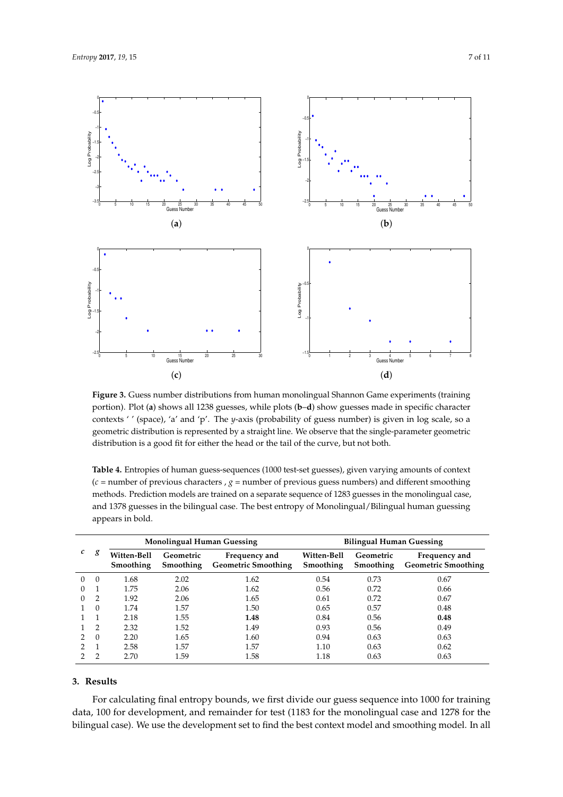<span id="page-6-0"></span>

**Figure 3.** Guess number distributions from human monolingual Shannon Game experiments (training portion). Plot (**a**) shows all 1238 guesses, while plots (**b**–**d**) show guesses made in specific character contexts ' ' (space), 'a' and 'p'. The *y*-axis (probability of guess number) is given in log scale, so a geometric distribution is represented by a straight line. We observe that the single-parameter geometric distribution is a good fit for either the head or the tail of the curve, but not both.

| c        |          |                          | <b>Monolingual Human Guessing</b> |                                             | <b>Bilingual Human Guessing</b> |                        |                                             |
|----------|----------|--------------------------|-----------------------------------|---------------------------------------------|---------------------------------|------------------------|---------------------------------------------|
|          | g        | Witten-Bell<br>Smoothing | Geometric<br>Smoothing            | Frequency and<br><b>Geometric Smoothing</b> | Witten-Bell<br>Smoothing        | Geometric<br>Smoothing | Frequency and<br><b>Geometric Smoothing</b> |
| $\Omega$ | $\Omega$ | 1.68                     | 2.02                              | 1.62                                        | 0.54                            | 0.73                   | 0.67                                        |
|          |          | 1.75                     | 2.06                              | 1.62                                        | 0.56                            | 0.72                   | 0.66                                        |
|          | 2        | 1.92                     | 2.06                              | 1.65                                        | 0.61                            | 0.72                   | 0.67                                        |
|          | $\Omega$ | 1.74                     | 1.57                              | 1.50                                        | 0.65                            | 0.57                   | 0.48                                        |
|          |          | 2.18                     | 1.55                              | 1.48                                        | 0.84                            | 0.56                   | 0.48                                        |
|          | 2        | 2.32                     | 1.52                              | 1.49                                        | 0.93                            | 0.56                   | 0.49                                        |
| 2        | $\Omega$ | 2.20                     | 1.65                              | 1.60                                        | 0.94                            | 0.63                   | 0.63                                        |
|          |          | 2.58                     | 1.57                              | 1.57                                        | 1.10                            | 0.63                   | 0.62                                        |
|          |          | 2.70                     | 1.59                              | 1.58                                        | 1.18                            | 0.63                   | 0.63                                        |

<span id="page-6-1"></span>**Table 4.** Entropies of human guess-sequences (1000 test-set guesses), given varying amounts of context  $(c =$  number of previous characters,  $g =$  number of previous guess numbers) and different smoothing methods. Prediction models are trained on a separate sequence of 1283 guesses in the monolingual case, and 1378 guesses in the bilingual case. The best entropy of Monolingual/Bilingual human guessing appears in bold.

## **3. Results**

For calculating final entropy bounds, we first divide our guess sequence into 1000 for training data, 100 for development, and remainder for test (1183 for the monolingual case and 1278 for the bilingual case). We use the development set to find the best context model and smoothing model. In all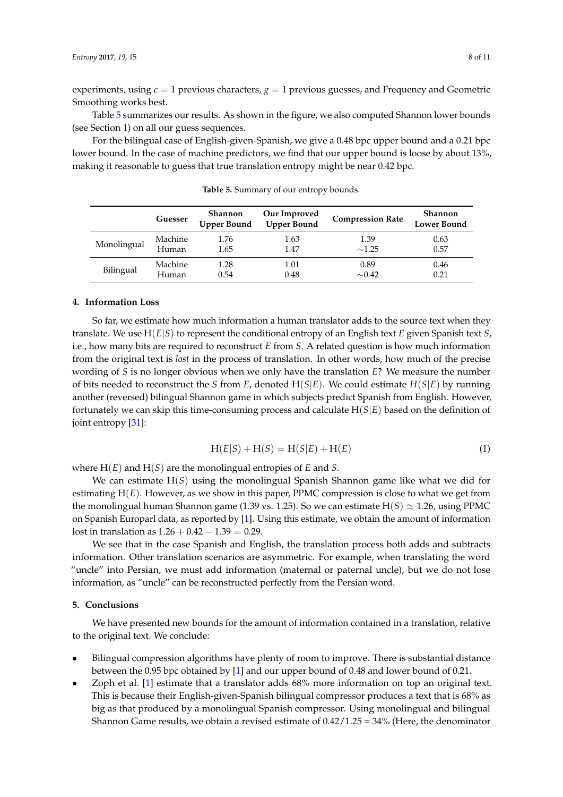experiments, using  $c = 1$  previous characters,  $g = 1$  previous guesses, and Frequency and Geometric Smoothing works best.

Table [5](#page-7-0) summarizes our results. As shown in the figure, we also computed Shannon lower bounds (see Section [1\)](#page-0-0) on all our guess sequences.

For the bilingual case of English-given-Spanish, we give a 0.48 bpc upper bound and a 0.21 bpc lower bound. In the case of machine predictors, we find that our upper bound is loose by about 13%, making it reasonable to guess that true translation entropy might be near 0.42 bpc.

<span id="page-7-0"></span>

|             | Guesser | Shannon<br><b>Upper Bound</b> | Our Improved<br><b>Upper Bound</b> | <b>Compression Rate</b> | <b>Shannon</b><br>Lower Bound |
|-------------|---------|-------------------------------|------------------------------------|-------------------------|-------------------------------|
| Monolingual | Machine | 1.76                          | 1.63                               | 1.39                    | 0.63                          |
|             | Human   | 1.65                          | 1.47                               | $\sim$ 1.25             | 0.57                          |
| Bilingual   | Machine | 1.28                          | 1.01                               | 0.89                    | 0.46                          |
|             | Human   | 0.54                          | 0.48                               | $\sim 0.42$             | 0.21                          |

**Table 5.** Summary of our entropy bounds.

## **4. Information Loss**

So far, we estimate how much information a human translator adds to the source text when they translate. We use H(*E*|*S*) to represent the conditional entropy of an English text *E* given Spanish text *S*, i.e., how many bits are required to reconstruct *E* from *S*. A related question is how much information from the original text is *lost* in the process of translation. In other words, how much of the precise wording of *S* is no longer obvious when we only have the translation *E*? We measure the number of bits needed to reconstruct the *S* from *E*, denoted H(*S*|*E*). We could estimate *H*(*S*|*E*) by running another (reversed) bilingual Shannon game in which subjects predict Spanish from English. However, fortunately we can skip this time-consuming process and calculate H(*S*|*E*) based on the definition of joint entropy [\[31\]](#page-10-2):

$$
H(E|S) + H(S) = H(S|E) + H(E)
$$
 (1)

where H(*E*) and H(*S*) are the monolingual entropies of *E* and *S*.

We can estimate H(*S*) using the monolingual Spanish Shannon game like what we did for estimating H(*E*). However, as we show in this paper, PPMC compression is close to what we get from the monolingual human Shannon game (1.39 vs. 1.25). So we can estimate  $H(S) \simeq 1.26$ , using PPMC on Spanish Europarl data, as reported by [\[1\]](#page-9-0). Using this estimate, we obtain the amount of information lost in translation as  $1.26 + 0.42 - 1.39 = 0.29$ .

We see that in the case Spanish and English, the translation process both adds and subtracts information. Other translation scenarios are asymmetric. For example, when translating the word "uncle" into Persian, we must add information (maternal or paternal uncle), but we do not lose information, as "uncle" can be reconstructed perfectly from the Persian word.

## **5. Conclusions**

We have presented new bounds for the amount of information contained in a translation, relative to the original text. We conclude:

- Bilingual compression algorithms have plenty of room to improve. There is substantial distance between the 0.95 bpc obtained by [\[1\]](#page-9-0) and our upper bound of 0.48 and lower bound of 0.21.
- Zoph et al. [\[1\]](#page-9-0) estimate that a translator adds 68% more information on top an original text. This is because their English-given-Spanish bilingual compressor produces a text that is 68% as big as that produced by a monolingual Spanish compressor. Using monolingual and bilingual Shannon Game results, we obtain a revised estimate of  $0.42/1.25 = 34\%$  (Here, the denominator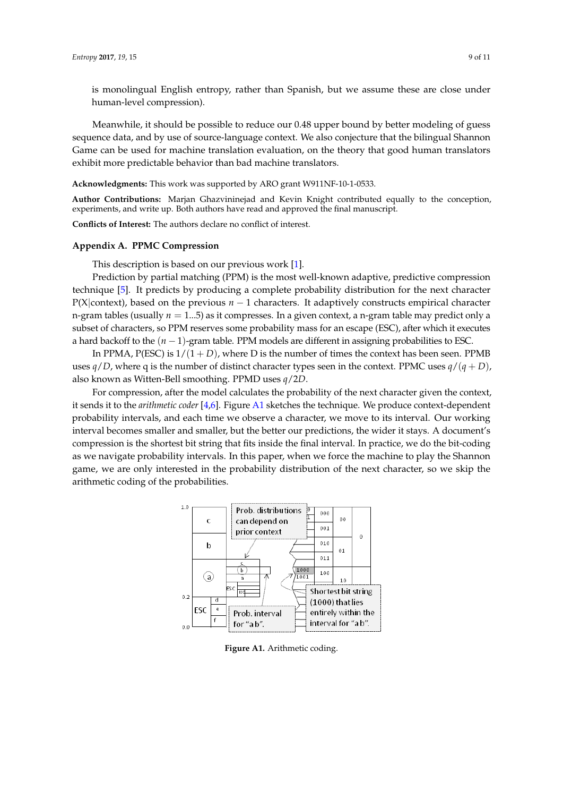is monolingual English entropy, rather than Spanish, but we assume these are close under human-level compression).

Meanwhile, it should be possible to reduce our 0.48 upper bound by better modeling of guess sequence data, and by use of source-language context. We also conjecture that the bilingual Shannon Game can be used for machine translation evaluation, on the theory that good human translators exhibit more predictable behavior than bad machine translators.

**Acknowledgments:** This work was supported by ARO grant W911NF-10-1-0533.

**Author Contributions:** Marjan Ghazvininejad and Kevin Knight contributed equally to the conception, experiments, and write up. Both authors have read and approved the final manuscript.

**Conflicts of Interest:** The authors declare no conflict of interest.

#### <span id="page-8-0"></span>**Appendix A. PPMC Compression**

This description is based on our previous work [\[1\]](#page-9-0).

Prediction by partial matching (PPM) is the most well-known adaptive, predictive compression technique [\[5\]](#page-9-14). It predicts by producing a complete probability distribution for the next character P(X|context), based on the previous *n* − 1 characters. It adaptively constructs empirical character n-gram tables (usually *n* = 1...5) as it compresses. In a given context, a n-gram table may predict only a subset of characters, so PPM reserves some probability mass for an escape (ESC), after which it executes a hard backoff to the (*n* − 1)-gram table. PPM models are different in assigning probabilities to ESC.

In PPMA,  $P(ESC)$  is  $1/(1+D)$ , where D is the number of times the context has been seen. PPMB uses  $q/D$ , where q is the number of distinct character types seen in the context. PPMC uses  $q/(q+D)$ , also known as Witten-Bell smoothing. PPMD uses *q*/2*D*.

For compression, after the model calculates the probability of the next character given the context, it sends it to the *arithmetic coder* [\[4,](#page-9-3)[6\]](#page-9-13). Figure [A1](#page-2-0) sketches the technique. We produce context-dependent probability intervals, and each time we observe a character, we move to its interval. Our working interval becomes smaller and smaller, but the better our predictions, the wider it stays. A document's compression is the shortest bit string that fits inside the final interval. In practice, we do the bit-coding as we navigate probability intervals. In this paper, when we force the machine to play the Shannon game, we are only interested in the probability distribution of the next character, so we skip the arithmetic coding of the probabilities.



**Figure A1.** Arithmetic coding.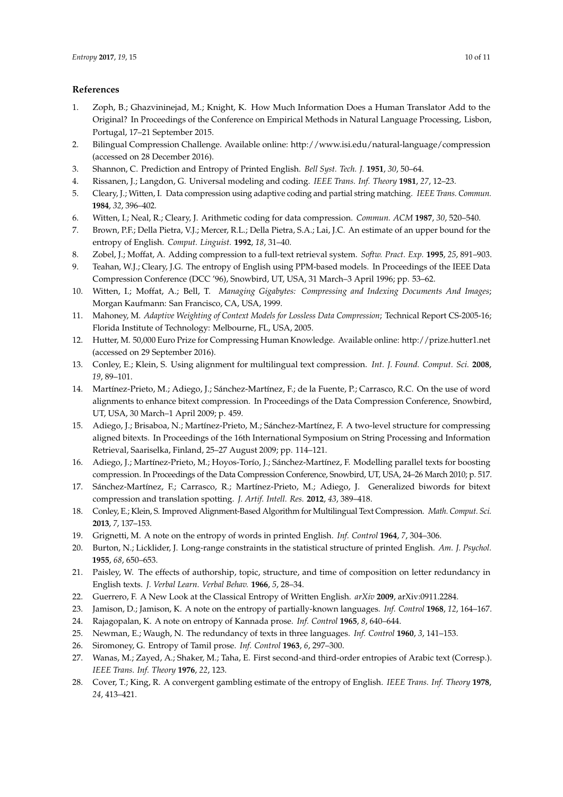## **References**

- <span id="page-9-0"></span>1. Zoph, B.; Ghazvininejad, M.; Knight, K. How Much Information Does a Human Translator Add to the Original? In Proceedings of the Conference on Empirical Methods in Natural Language Processing, Lisbon, Portugal, 17–21 September 2015.
- <span id="page-9-1"></span>2. Bilingual Compression Challenge. Available online: http://www.isi.edu/natural-language/compression (accessed on 28 December 2016).
- <span id="page-9-2"></span>3. Shannon, C. Prediction and Entropy of Printed English. *Bell Syst. Tech. J.* **1951**, *30*, 50–64.
- <span id="page-9-3"></span>4. Rissanen, J.; Langdon, G. Universal modeling and coding. *IEEE Trans. Inf. Theory* **1981**, *27*, 12–23.
- <span id="page-9-14"></span>5. Cleary, J.; Witten, I. Data compression using adaptive coding and partial string matching. *IEEE Trans. Commun.* **1984**, *32*, 396–402.
- <span id="page-9-13"></span>6. Witten, I.; Neal, R.; Cleary, J. Arithmetic coding for data compression. *Commun. ACM* **1987**, *30*, 520–540.
- 7. Brown, P.F.; Della Pietra, V.J.; Mercer, R.L.; Della Pietra, S.A.; Lai, J.C. An estimate of an upper bound for the entropy of English. *Comput. Linguist.* **1992**, *18*, 31–40.
- 8. Zobel, J.; Moffat, A. Adding compression to a full-text retrieval system. *Softw. Pract. Exp.* **1995**, *25*, 891–903.
- 9. Teahan, W.J.; Cleary, J.G. The entropy of English using PPM-based models. In Proceedings of the IEEE Data Compression Conference (DCC '96), Snowbird, UT, USA, 31 March–3 April 1996; pp. 53–62.
- 10. Witten, I.; Moffat, A.; Bell, T. *Managing Gigabytes: Compressing and Indexing Documents And Images*; Morgan Kaufmann: San Francisco, CA, USA, 1999.
- <span id="page-9-4"></span>11. Mahoney, M. *Adaptive Weighting of Context Models for Lossless Data Compression*; Technical Report CS-2005-16; Florida Institute of Technology: Melbourne, FL, USA, 2005.
- <span id="page-9-5"></span>12. Hutter, M. 50,000 Euro Prize for Compressing Human Knowledge. Available online: <http://prize.hutter1.net> (accessed on 29 September 2016).
- <span id="page-9-6"></span>13. Conley, E.; Klein, S. Using alignment for multilingual text compression. *Int. J. Found. Comput. Sci.* **2008**, *19*, 89–101.
- 14. Martínez-Prieto, M.; Adiego, J.; Sánchez-Martínez, F.; de la Fuente, P.; Carrasco, R.C. On the use of word alignments to enhance bitext compression. In Proceedings of the Data Compression Conference, Snowbird, UT, USA, 30 March–1 April 2009; p. 459.
- 15. Adiego, J.; Brisaboa, N.; Martínez-Prieto, M.; Sánchez-Martínez, F. A two-level structure for compressing aligned bitexts. In Proceedings of the 16th International Symposium on String Processing and Information Retrieval, Saariselka, Finland, 25–27 August 2009; pp. 114–121.
- 16. Adiego, J.; Martínez-Prieto, M.; Hoyos-Torío, J.; Sánchez-Martínez, F. Modelling parallel texts for boosting compression. In Proceedings of the Data Compression Conference, Snowbird, UT, USA, 24–26 March 2010; p. 517.
- 17. Sánchez-Martínez, F.; Carrasco, R.; Martínez-Prieto, M.; Adiego, J. Generalized biwords for bitext compression and translation spotting. *J. Artif. Intell. Res.* **2012**, *43*, 389–418.
- <span id="page-9-7"></span>18. Conley, E.; Klein, S. Improved Alignment-Based Algorithm for Multilingual Text Compression. *Math. Comput. Sci.* **2013**, *7*, 137–153.
- <span id="page-9-8"></span>19. Grignetti, M. A note on the entropy of words in printed English. *Inf. Control* **1964**, *7*, 304–306.
- 20. Burton, N.; Licklider, J. Long-range constraints in the statistical structure of printed English. *Am. J. Psychol.* **1955**, *68*, 650–653.
- 21. Paisley, W. The effects of authorship, topic, structure, and time of composition on letter redundancy in English texts. *J. Verbal Learn. Verbal Behav.* **1966**, *5*, 28–34.
- <span id="page-9-9"></span>22. Guerrero, F. A New Look at the Classical Entropy of Written English. *arXiv* **2009**, arXiv:0911.2284.
- <span id="page-9-10"></span>23. Jamison, D.; Jamison, K. A note on the entropy of partially-known languages. *Inf. Control* **1968**, *12*, 164–167.
- 24. Rajagopalan, K. A note on entropy of Kannada prose. *Inf. Control* **1965**, *8*, 640–644.
- 25. Newman, E.; Waugh, N. The redundancy of texts in three languages. *Inf. Control* **1960**, *3*, 141–153.
- 26. Siromoney, G. Entropy of Tamil prose. *Inf. Control* **1963**, *6*, 297–300.
- <span id="page-9-11"></span>27. Wanas, M.; Zayed, A.; Shaker, M.; Taha, E. First second-and third-order entropies of Arabic text (Corresp.). *IEEE Trans. Inf. Theory* **1976**, *22*, 123.
- <span id="page-9-12"></span>28. Cover, T.; King, R. A convergent gambling estimate of the entropy of English. *IEEE Trans. Inf. Theory* **1978**, *24*, 413–421.